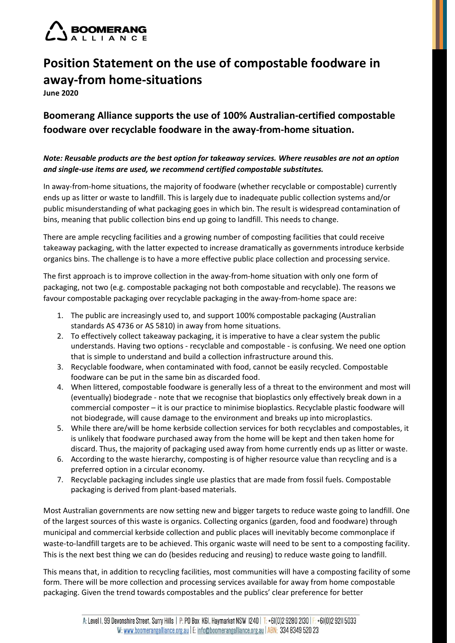

## **Position Statement on the use of compostable foodware in away-from home-situations**

**June 2020**

**Boomerang Alliance supports the use of 100% Australian-certified compostable foodware over recyclable foodware in the away-from-home situation.** 

## *Note: Reusable products are the best option for takeaway services. Where reusables are not an option and single-use items are used, we recommend certified compostable substitutes.*

In away-from-home situations, the majority of foodware (whether recyclable or compostable) currently ends up as litter or waste to landfill. This is largely due to inadequate public collection systems and/or public misunderstanding of what packaging goes in which bin. The result is widespread contamination of bins, meaning that public collection bins end up going to landfill. This needs to change.

There are ample recycling facilities and a growing number of composting facilities that could receive takeaway packaging, with the latter expected to increase dramatically as governments introduce kerbside organics bins. The challenge is to have a more effective public place collection and processing service.

The first approach is to improve collection in the away-from-home situation with only one form of packaging, not two (e.g. compostable packaging not both compostable and recyclable). The reasons we favour compostable packaging over recyclable packaging in the away-from-home space are:

- 1. The public are increasingly used to, and support 100% compostable packaging (Australian standards AS 4736 or AS 5810) in away from home situations.
- 2. To effectively collect takeaway packaging, it is imperative to have a clear system the public understands. Having two options - recyclable and compostable - is confusing. We need one option that is simple to understand and build a collection infrastructure around this.
- 3. Recyclable foodware, when contaminated with food, cannot be easily recycled. Compostable foodware can be put in the same bin as discarded food.
- 4. When littered, compostable foodware is generally less of a threat to the environment and most will (eventually) biodegrade - note that we recognise that bioplastics only effectively break down in a commercial composter – it is our practice to minimise bioplastics. Recyclable plastic foodware will not biodegrade, will cause damage to the environment and breaks up into microplastics.
- 5. While there are/will be home kerbside collection services for both recyclables and compostables, it is unlikely that foodware purchased away from the home will be kept and then taken home for discard. Thus, the majority of packaging used away from home currently ends up as litter or waste.
- 6. According to the waste hierarchy, composting is of higher resource value than recycling and is a preferred option in a circular economy.
- 7. Recyclable packaging includes single use plastics that are made from fossil fuels. Compostable packaging is derived from plant-based materials.

Most Australian governments are now setting new and bigger targets to reduce waste going to landfill. One of the largest sources of this waste is organics. Collecting organics (garden, food and foodware) through municipal and commercial kerbside collection and public places will inevitably become commonplace if waste-to-landfill targets are to be achieved. This organic waste will need to be sent to a composting facility. This is the next best thing we can do (besides reducing and reusing) to reduce waste going to landfill.

This means that, in addition to recycling facilities, most communities will have a composting facility of some form. There will be more collection and processing services available for away from home compostable packaging. Given the trend towards compostables and the publics' clear preference for better